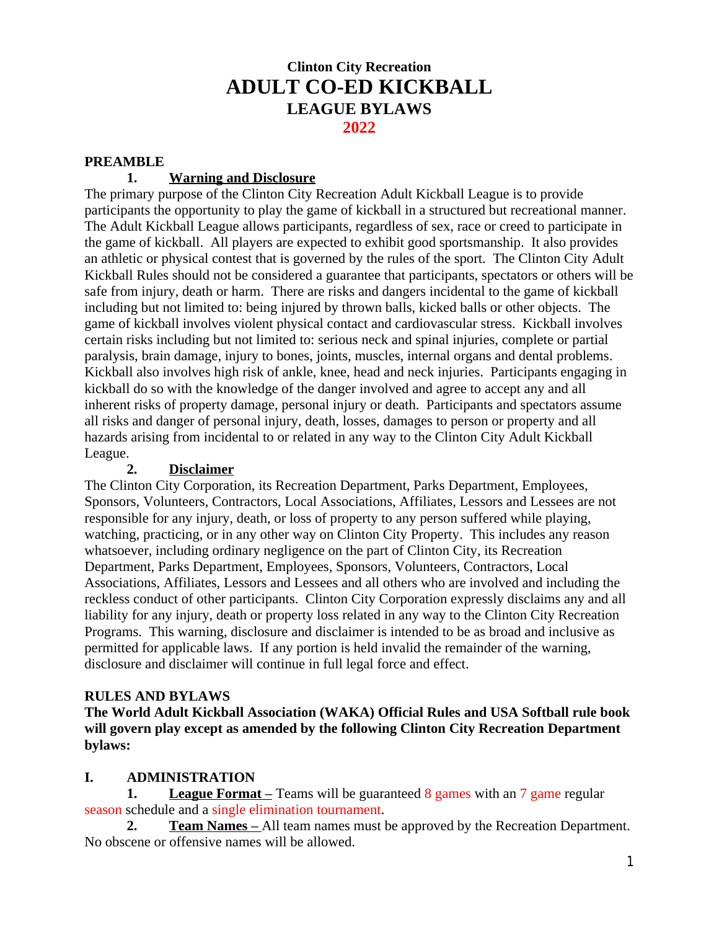# **Clinton City Recreation ADULT CO-ED KICKBALL LEAGUE BYLAWS 2022**

#### **PREAMBLE**

## **1. Warning and Disclosure**

The primary purpose of the Clinton City Recreation Adult Kickball League is to provide participants the opportunity to play the game of kickball in a structured but recreational manner. The Adult Kickball League allows participants, regardless of sex, race or creed to participate in the game of kickball. All players are expected to exhibit good sportsmanship. It also provides an athletic or physical contest that is governed by the rules of the sport. The Clinton City Adult Kickball Rules should not be considered a guarantee that participants, spectators or others will be safe from injury, death or harm. There are risks and dangers incidental to the game of kickball including but not limited to: being injured by thrown balls, kicked balls or other objects. The game of kickball involves violent physical contact and cardiovascular stress. Kickball involves certain risks including but not limited to: serious neck and spinal injuries, complete or partial paralysis, brain damage, injury to bones, joints, muscles, internal organs and dental problems. Kickball also involves high risk of ankle, knee, head and neck injuries. Participants engaging in kickball do so with the knowledge of the danger involved and agree to accept any and all inherent risks of property damage, personal injury or death. Participants and spectators assume all risks and danger of personal injury, death, losses, damages to person or property and all hazards arising from incidental to or related in any way to the Clinton City Adult Kickball League.

#### **2. Disclaimer**

The Clinton City Corporation, its Recreation Department, Parks Department, Employees, Sponsors, Volunteers, Contractors, Local Associations, Affiliates, Lessors and Lessees are not responsible for any injury, death, or loss of property to any person suffered while playing, watching, practicing, or in any other way on Clinton City Property. This includes any reason whatsoever, including ordinary negligence on the part of Clinton City, its Recreation Department, Parks Department, Employees, Sponsors, Volunteers, Contractors, Local Associations, Affiliates, Lessors and Lessees and all others who are involved and including the reckless conduct of other participants. Clinton City Corporation expressly disclaims any and all liability for any injury, death or property loss related in any way to the Clinton City Recreation Programs. This warning, disclosure and disclaimer is intended to be as broad and inclusive as permitted for applicable laws. If any portion is held invalid the remainder of the warning, disclosure and disclaimer will continue in full legal force and effect.

#### **RULES AND BYLAWS**

**The World Adult Kickball Association (WAKA) Official Rules and USA Softball rule book will govern play except as amended by the following Clinton City Recreation Department bylaws:**

#### **I. ADMINISTRATION**

**1.** League Format – Teams will be guaranteed 8 games with an 7 game regular season schedule and a single elimination tournament.

**2. Team Names** – All team names must be approved by the Recreation Department. No obscene or offensive names will be allowed.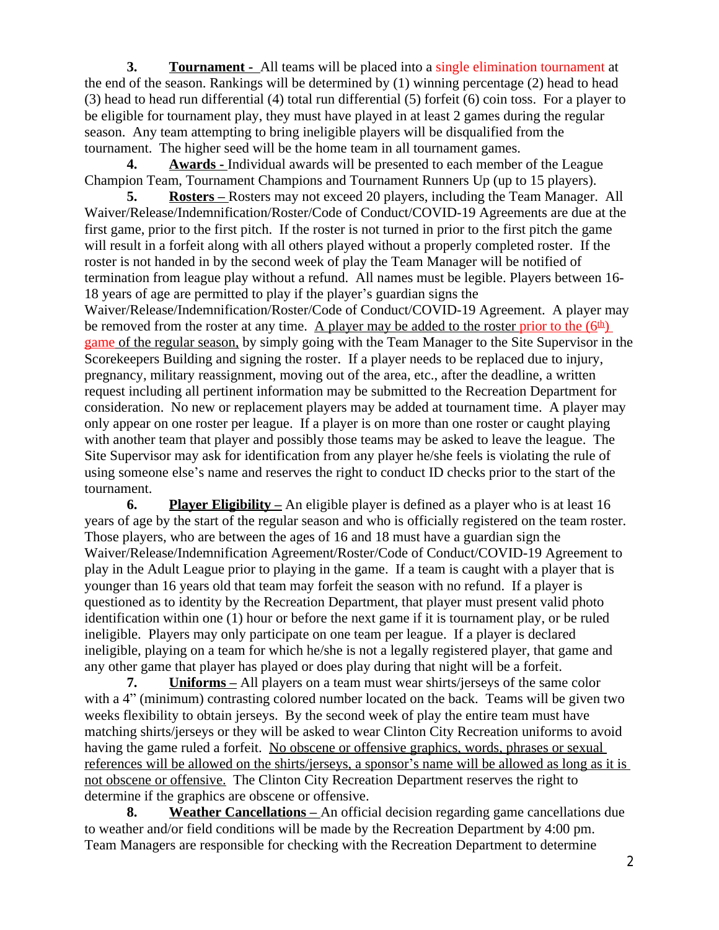**3. Tournament -** All teams will be placed into a single elimination tournament at the end of the season. Rankings will be determined by (1) winning percentage (2) head to head (3) head to head run differential (4) total run differential (5) forfeit (6) coin toss. For a player to be eligible for tournament play, they must have played in at least 2 games during the regular season. Any team attempting to bring ineligible players will be disqualified from the tournament. The higher seed will be the home team in all tournament games.

**4. Awards -** Individual awards will be presented to each member of the League Champion Team, Tournament Champions and Tournament Runners Up (up to 15 players).

**5. Rosters** – Rosters may not exceed 20 players, including the Team Manager. All Waiver/Release/Indemnification/Roster/Code of Conduct/COVID-19 Agreements are due at the first game, prior to the first pitch. If the roster is not turned in prior to the first pitch the game will result in a forfeit along with all others played without a properly completed roster. If the roster is not handed in by the second week of play the Team Manager will be notified of termination from league play without a refund. All names must be legible. Players between 16- 18 years of age are permitted to play if the player's guardian signs the Waiver/Release/Indemnification/Roster/Code of Conduct/COVID-19 Agreement. A player may be removed from the roster at any time. A player may be added to the roster prior to the  $(6<sup>th</sup>)$ game of the regular season, by simply going with the Team Manager to the Site Supervisor in the Scorekeepers Building and signing the roster. If a player needs to be replaced due to injury, pregnancy, military reassignment, moving out of the area, etc., after the deadline, a written request including all pertinent information may be submitted to the Recreation Department for consideration. No new or replacement players may be added at tournament time. A player may only appear on one roster per league. If a player is on more than one roster or caught playing with another team that player and possibly those teams may be asked to leave the league. The Site Supervisor may ask for identification from any player he/she feels is violating the rule of using someone else's name and reserves the right to conduct ID checks prior to the start of the tournament.

**6. Player Eligibility –** An eligible player is defined as a player who is at least 16 years of age by the start of the regular season and who is officially registered on the team roster. Those players, who are between the ages of 16 and 18 must have a guardian sign the Waiver/Release/Indemnification Agreement/Roster/Code of Conduct/COVID-19 Agreement to play in the Adult League prior to playing in the game. If a team is caught with a player that is younger than 16 years old that team may forfeit the season with no refund. If a player is questioned as to identity by the Recreation Department, that player must present valid photo identification within one (1) hour or before the next game if it is tournament play, or be ruled ineligible. Players may only participate on one team per league. If a player is declared ineligible, playing on a team for which he/she is not a legally registered player, that game and any other game that player has played or does play during that night will be a forfeit.

**7. Uniforms –** All players on a team must wear shirts/jerseys of the same color with a 4" (minimum) contrasting colored number located on the back. Teams will be given two weeks flexibility to obtain jerseys. By the second week of play the entire team must have matching shirts/jerseys or they will be asked to wear Clinton City Recreation uniforms to avoid having the game ruled a forfeit. No obscene or offensive graphics, words, phrases or sexual references will be allowed on the shirts/jerseys, a sponsor's name will be allowed as long as it is not obscene or offensive. The Clinton City Recreation Department reserves the right to determine if the graphics are obscene or offensive.

**8. Weather Cancellations –** An official decision regarding game cancellations due to weather and/or field conditions will be made by the Recreation Department by 4:00 pm. Team Managers are responsible for checking with the Recreation Department to determine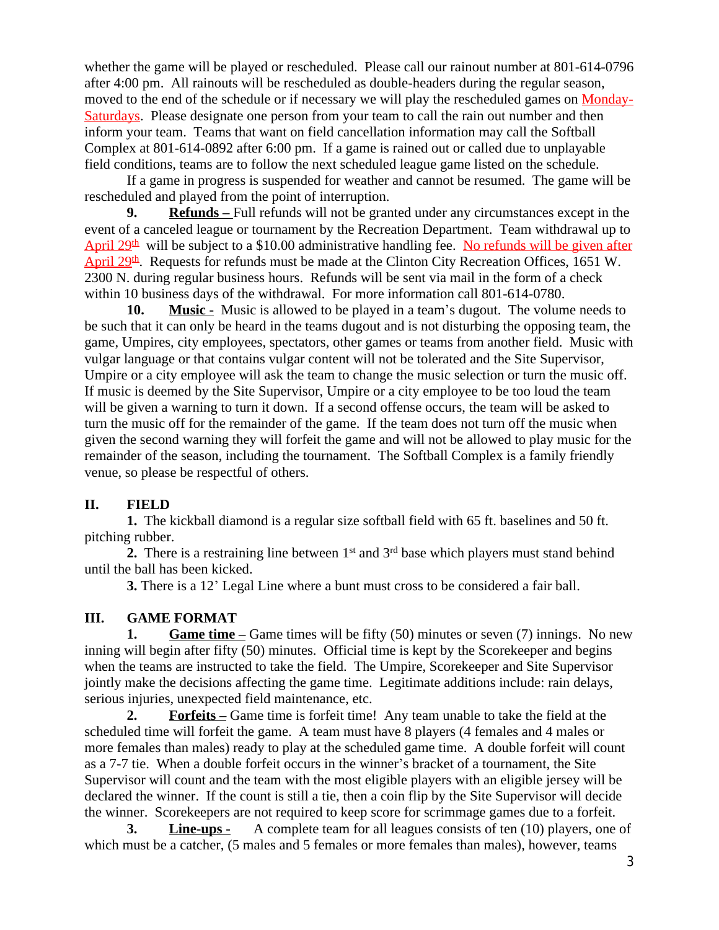whether the game will be played or rescheduled. Please call our rainout number at 801-614-0796 after 4:00 pm. All rainouts will be rescheduled as double-headers during the regular season, moved to the end of the schedule or if necessary we will play the rescheduled games on Monday-Saturdays. Please designate one person from your team to call the rain out number and then inform your team. Teams that want on field cancellation information may call the Softball Complex at 801-614-0892 after 6:00 pm. If a game is rained out or called due to unplayable field conditions, teams are to follow the next scheduled league game listed on the schedule.

If a game in progress is suspended for weather and cannot be resumed. The game will be rescheduled and played from the point of interruption.

**9. Refunds** – Full refunds will not be granted under any circumstances except in the event of a canceled league or tournament by the Recreation Department. Team withdrawal up to April  $29<sup>th</sup>$  will be subject to a \$10.00 administrative handling fee. No refunds will be given after  $\Delta$ pril 29<sup>th</sup>. Requests for refunds must be made at the Clinton City Recreation Offices, 1651 W. 2300 N. during regular business hours. Refunds will be sent via mail in the form of a check within 10 business days of the withdrawal. For more information call 801-614-0780.

**10. Music -** Music is allowed to be played in a team's dugout. The volume needs to be such that it can only be heard in the teams dugout and is not disturbing the opposing team, the game, Umpires, city employees, spectators, other games or teams from another field. Music with vulgar language or that contains vulgar content will not be tolerated and the Site Supervisor, Umpire or a city employee will ask the team to change the music selection or turn the music off. If music is deemed by the Site Supervisor, Umpire or a city employee to be too loud the team will be given a warning to turn it down. If a second offense occurs, the team will be asked to turn the music off for the remainder of the game. If the team does not turn off the music when given the second warning they will forfeit the game and will not be allowed to play music for the remainder of the season, including the tournament. The Softball Complex is a family friendly venue, so please be respectful of others.

#### **II. FIELD**

**1.** The kickball diamond is a regular size softball field with 65 ft. baselines and 50 ft. pitching rubber.

**2.** There is a restraining line between  $1<sup>st</sup>$  and  $3<sup>rd</sup>$  base which players must stand behind until the ball has been kicked.

**3.** There is a 12' Legal Line where a bunt must cross to be considered a fair ball.

#### **III. GAME FORMAT**

**1. Game time –** Game times will be fifty (50) minutes or seven (7) innings. No new inning will begin after fifty (50) minutes. Official time is kept by the Scorekeeper and begins when the teams are instructed to take the field. The Umpire, Scorekeeper and Site Supervisor jointly make the decisions affecting the game time. Legitimate additions include: rain delays, serious injuries, unexpected field maintenance, etc.

**2. Forfeits** – Game time is forfeit time! Any team unable to take the field at the scheduled time will forfeit the game. A team must have 8 players (4 females and 4 males or more females than males) ready to play at the scheduled game time. A double forfeit will count as a 7-7 tie. When a double forfeit occurs in the winner's bracket of a tournament, the Site Supervisor will count and the team with the most eligible players with an eligible jersey will be declared the winner. If the count is still a tie, then a coin flip by the Site Supervisor will decide the winner. Scorekeepers are not required to keep score for scrimmage games due to a forfeit.

**3. Line-ups -** A complete team for all leagues consists of ten (10) players, one of which must be a catcher,  $(5 \text{ males and } 5 \text{ females or more females than males}),$  however, teams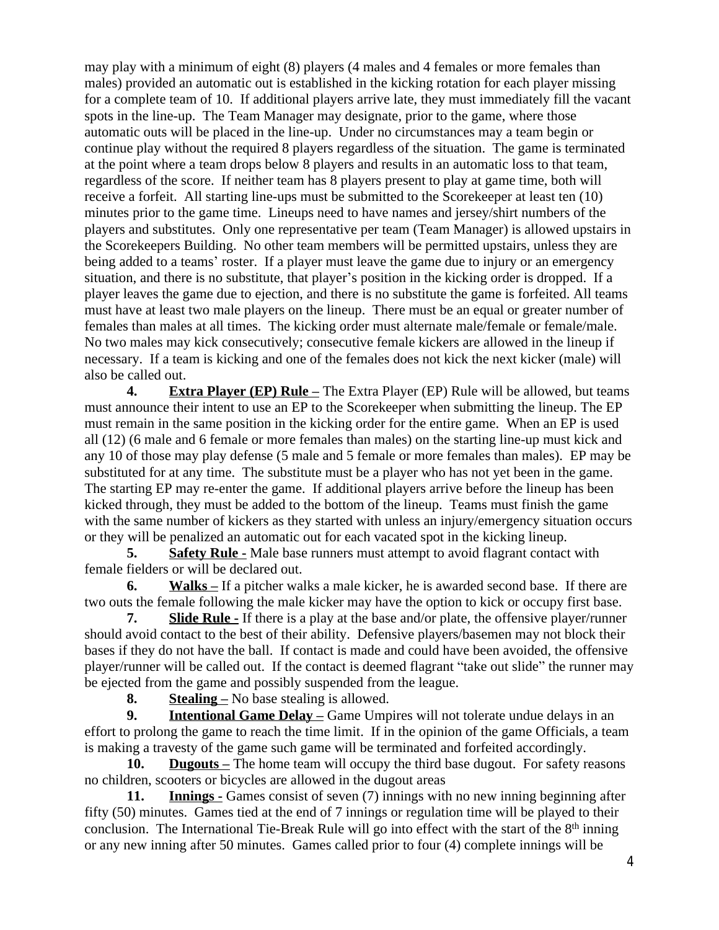may play with a minimum of eight (8) players (4 males and 4 females or more females than males) provided an automatic out is established in the kicking rotation for each player missing for a complete team of 10. If additional players arrive late, they must immediately fill the vacant spots in the line-up. The Team Manager may designate, prior to the game, where those automatic outs will be placed in the line-up. Under no circumstances may a team begin or continue play without the required 8 players regardless of the situation. The game is terminated at the point where a team drops below 8 players and results in an automatic loss to that team, regardless of the score. If neither team has 8 players present to play at game time, both will receive a forfeit. All starting line-ups must be submitted to the Scorekeeper at least ten (10) minutes prior to the game time. Lineups need to have names and jersey/shirt numbers of the players and substitutes. Only one representative per team (Team Manager) is allowed upstairs in the Scorekeepers Building. No other team members will be permitted upstairs, unless they are being added to a teams' roster. If a player must leave the game due to injury or an emergency situation, and there is no substitute, that player's position in the kicking order is dropped. If a player leaves the game due to ejection, and there is no substitute the game is forfeited. All teams must have at least two male players on the lineup. There must be an equal or greater number of females than males at all times. The kicking order must alternate male/female or female/male. No two males may kick consecutively; consecutive female kickers are allowed in the lineup if necessary. If a team is kicking and one of the females does not kick the next kicker (male) will also be called out.

**4. Extra Player (EP) Rule** – The Extra Player (EP) Rule will be allowed, but teams must announce their intent to use an EP to the Scorekeeper when submitting the lineup. The EP must remain in the same position in the kicking order for the entire game. When an EP is used all (12) (6 male and 6 female or more females than males) on the starting line-up must kick and any 10 of those may play defense (5 male and 5 female or more females than males). EP may be substituted for at any time. The substitute must be a player who has not yet been in the game. The starting EP may re-enter the game. If additional players arrive before the lineup has been kicked through, they must be added to the bottom of the lineup. Teams must finish the game with the same number of kickers as they started with unless an injury/emergency situation occurs or they will be penalized an automatic out for each vacated spot in the kicking lineup.

**5. Safety Rule -** Male base runners must attempt to avoid flagrant contact with female fielders or will be declared out.

**6. Walks –** If a pitcher walks a male kicker, he is awarded second base. If there are two outs the female following the male kicker may have the option to kick or occupy first base.

**7. Slide Rule -** If there is a play at the base and/or plate, the offensive player/runner should avoid contact to the best of their ability. Defensive players/basemen may not block their bases if they do not have the ball. If contact is made and could have been avoided, the offensive player/runner will be called out. If the contact is deemed flagrant "take out slide" the runner may be ejected from the game and possibly suspended from the league.

**8. Stealing –** No base stealing is allowed.

**9. Intentional Game Delay –** Game Umpires will not tolerate undue delays in an effort to prolong the game to reach the time limit. If in the opinion of the game Officials, a team is making a travesty of the game such game will be terminated and forfeited accordingly.

**10. Dugouts** – The home team will occupy the third base dugout. For safety reasons no children, scooters or bicycles are allowed in the dugout areas

**11. Innings -** Games consist of seven (7) innings with no new inning beginning after fifty (50) minutes. Games tied at the end of 7 innings or regulation time will be played to their conclusion. The International Tie-Break Rule will go into effect with the start of the 8<sup>th</sup> inning or any new inning after 50 minutes. Games called prior to four (4) complete innings will be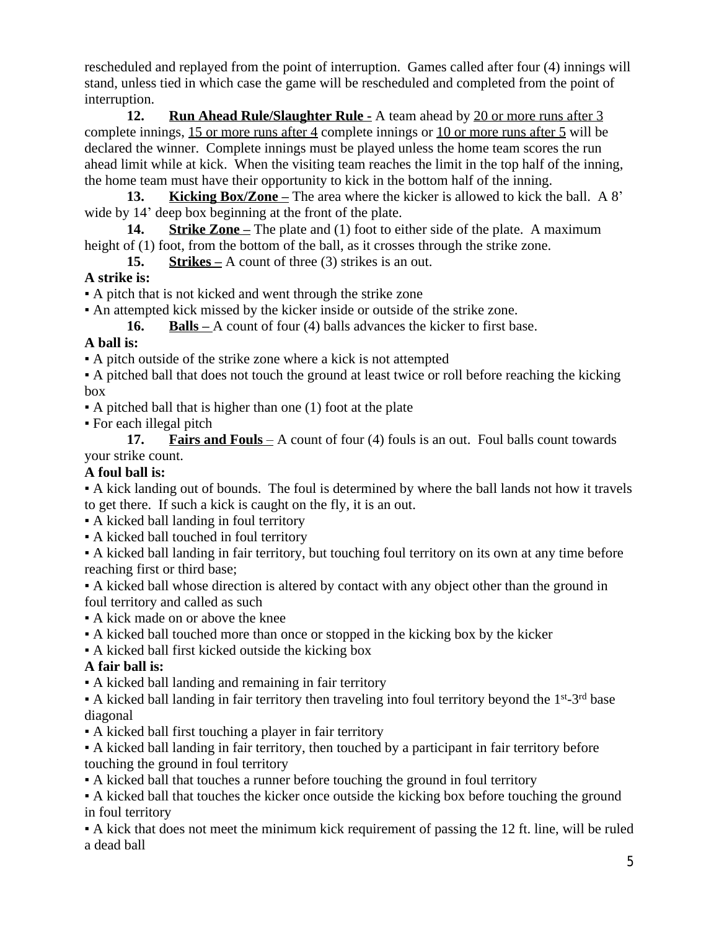rescheduled and replayed from the point of interruption. Games called after four (4) innings will stand, unless tied in which case the game will be rescheduled and completed from the point of interruption.

**12. Run Ahead Rule/Slaughter Rule -** A team ahead by 20 or more runs after 3 complete innings, 15 or more runs after 4 complete innings or 10 or more runs after 5 will be declared the winner. Complete innings must be played unless the home team scores the run ahead limit while at kick. When the visiting team reaches the limit in the top half of the inning, the home team must have their opportunity to kick in the bottom half of the inning.

**13. Kicking Box/Zone** – The area where the kicker is allowed to kick the ball. A 8' wide by 14' deep box beginning at the front of the plate.

**14. Strike Zone** – The plate and (1) foot to either side of the plate. A maximum height of (1) foot, from the bottom of the ball, as it crosses through the strike zone.

**15. Strikes –** A count of three (3) strikes is an out.

## **A strike is:**

▪ A pitch that is not kicked and went through the strike zone

▪ An attempted kick missed by the kicker inside or outside of the strike zone.

**16. Balls –** A count of four (4) balls advances the kicker to first base.

## **A ball is:**

▪ A pitch outside of the strike zone where a kick is not attempted

▪ A pitched ball that does not touch the ground at least twice or roll before reaching the kicking box

 $\bullet$  A pitched ball that is higher than one (1) foot at the plate

▪ For each illegal pitch

**17. Fairs and Fouls** – A count of four (4) fouls is an out. Foul balls count towards your strike count.

## **A foul ball is:**

▪ A kick landing out of bounds. The foul is determined by where the ball lands not how it travels to get there. If such a kick is caught on the fly, it is an out.

- A kicked ball landing in foul territory
- A kicked ball touched in foul territory

▪ A kicked ball landing in fair territory, but touching foul territory on its own at any time before reaching first or third base;

▪ A kicked ball whose direction is altered by contact with any object other than the ground in foul territory and called as such

- A kick made on or above the knee
- A kicked ball touched more than once or stopped in the kicking box by the kicker
- A kicked ball first kicked outside the kicking box

# **A fair ball is:**

▪ A kicked ball landing and remaining in fair territory

 $\bullet$  A kicked ball landing in fair territory then traveling into foul territory beyond the 1<sup>st</sup>-3<sup>rd</sup> base diagonal

▪ A kicked ball first touching a player in fair territory

▪ A kicked ball landing in fair territory, then touched by a participant in fair territory before touching the ground in foul territory

▪ A kicked ball that touches a runner before touching the ground in foul territory

▪ A kicked ball that touches the kicker once outside the kicking box before touching the ground in foul territory

▪ A kick that does not meet the minimum kick requirement of passing the 12 ft. line, will be ruled a dead ball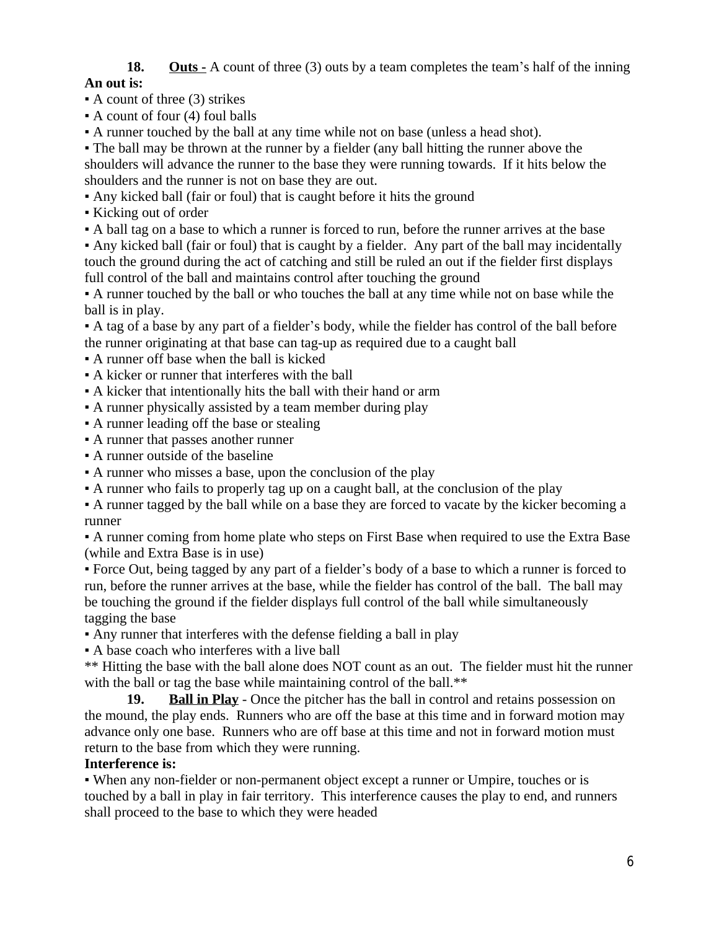# **18. Outs -** A count of three (3) outs by a team completes the team's half of the inning

## **An out is:**

 $\bullet$  A count of three (3) strikes

- $\bullet$  A count of four (4) foul balls
- A runner touched by the ball at any time while not on base (unless a head shot).

• The ball may be thrown at the runner by a fielder (any ball hitting the runner above the shoulders will advance the runner to the base they were running towards. If it hits below the shoulders and the runner is not on base they are out.

- Any kicked ball (fair or foul) that is caught before it hits the ground
- Kicking out of order
- A ball tag on a base to which a runner is forced to run, before the runner arrives at the base

▪ Any kicked ball (fair or foul) that is caught by a fielder. Any part of the ball may incidentally touch the ground during the act of catching and still be ruled an out if the fielder first displays full control of the ball and maintains control after touching the ground

▪ A runner touched by the ball or who touches the ball at any time while not on base while the ball is in play.

▪ A tag of a base by any part of a fielder's body, while the fielder has control of the ball before the runner originating at that base can tag-up as required due to a caught ball

▪ A runner off base when the ball is kicked

- A kicker or runner that interferes with the ball
- A kicker that intentionally hits the ball with their hand or arm
- A runner physically assisted by a team member during play
- A runner leading off the base or stealing
- A runner that passes another runner
- A runner outside of the baseline
- A runner who misses a base, upon the conclusion of the play
- A runner who fails to properly tag up on a caught ball, at the conclusion of the play

▪ A runner tagged by the ball while on a base they are forced to vacate by the kicker becoming a runner

▪ A runner coming from home plate who steps on First Base when required to use the Extra Base (while and Extra Base is in use)

▪ Force Out, being tagged by any part of a fielder's body of a base to which a runner is forced to run, before the runner arrives at the base, while the fielder has control of the ball. The ball may be touching the ground if the fielder displays full control of the ball while simultaneously tagging the base

▪ Any runner that interferes with the defense fielding a ball in play

▪ A base coach who interferes with a live ball

\*\* Hitting the base with the ball alone does NOT count as an out. The fielder must hit the runner with the ball or tag the base while maintaining control of the ball.<sup>\*\*</sup>

**19. Ball in Play** - Once the pitcher has the ball in control and retains possession on the mound, the play ends. Runners who are off the base at this time and in forward motion may advance only one base. Runners who are off base at this time and not in forward motion must return to the base from which they were running.

## **Interference is:**

▪ When any non-fielder or non-permanent object except a runner or Umpire, touches or is touched by a ball in play in fair territory. This interference causes the play to end, and runners shall proceed to the base to which they were headed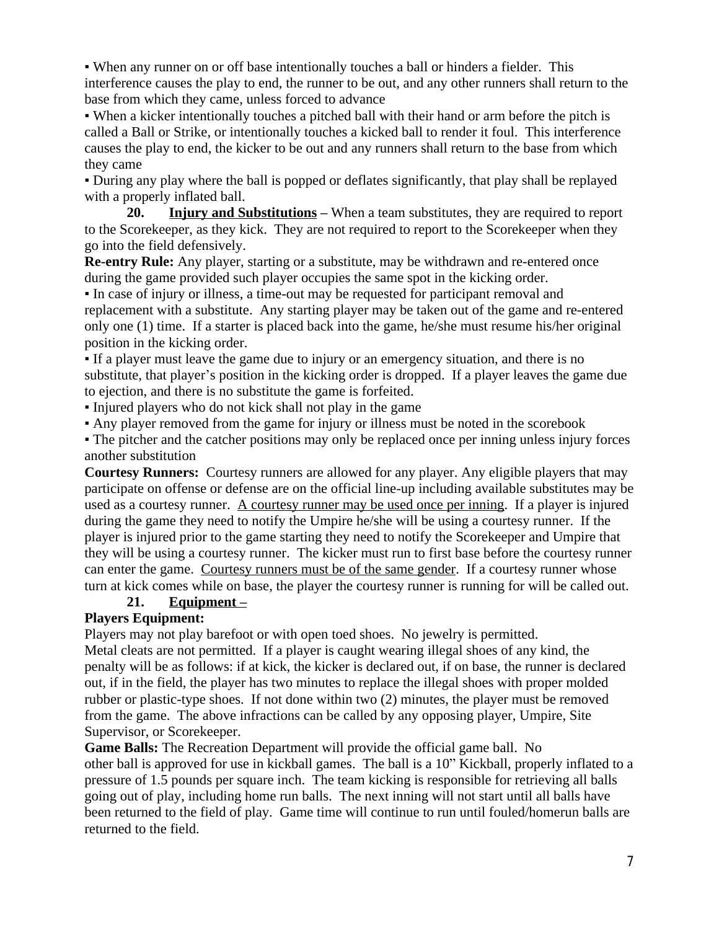▪ When any runner on or off base intentionally touches a ball or hinders a fielder. This interference causes the play to end, the runner to be out, and any other runners shall return to the base from which they came, unless forced to advance

▪ When a kicker intentionally touches a pitched ball with their hand or arm before the pitch is called a Ball or Strike, or intentionally touches a kicked ball to render it foul. This interference causes the play to end, the kicker to be out and any runners shall return to the base from which they came

▪ During any play where the ball is popped or deflates significantly, that play shall be replayed with a properly inflated ball.

**20. Injury and Substitutions –** When a team substitutes, they are required to report to the Scorekeeper, as they kick. They are not required to report to the Scorekeeper when they go into the field defensively.

**Re-entry Rule:** Any player, starting or a substitute, may be withdrawn and re-entered once during the game provided such player occupies the same spot in the kicking order.

▪ In case of injury or illness, a time-out may be requested for participant removal and replacement with a substitute. Any starting player may be taken out of the game and re-entered only one (1) time. If a starter is placed back into the game, he/she must resume his/her original position in the kicking order.

▪ If a player must leave the game due to injury or an emergency situation, and there is no substitute, that player's position in the kicking order is dropped. If a player leaves the game due to ejection, and there is no substitute the game is forfeited.

▪ Injured players who do not kick shall not play in the game

▪ Any player removed from the game for injury or illness must be noted in the scorebook

▪ The pitcher and the catcher positions may only be replaced once per inning unless injury forces another substitution

**Courtesy Runners:** Courtesy runners are allowed for any player. Any eligible players that may participate on offense or defense are on the official line-up including available substitutes may be used as a courtesy runner. A courtesy runner may be used once per inning. If a player is injured during the game they need to notify the Umpire he/she will be using a courtesy runner. If the player is injured prior to the game starting they need to notify the Scorekeeper and Umpire that they will be using a courtesy runner. The kicker must run to first base before the courtesy runner can enter the game. Courtesy runners must be of the same gender. If a courtesy runner whose turn at kick comes while on base, the player the courtesy runner is running for will be called out.

#### **21. Equipment –**

#### **Players Equipment:**

Players may not play barefoot or with open toed shoes. No jewelry is permitted.

Metal cleats are not permitted.If a player is caught wearing illegal shoes of any kind, the penalty will be as follows: if at kick, the kicker is declared out, if on base, the runner is declared out, if in the field, the player has two minutes to replace the illegal shoes with proper molded rubber or plastic-type shoes. If not done within two (2) minutes, the player must be removed from the game. The above infractions can be called by any opposing player, Umpire, Site Supervisor, or Scorekeeper.

**Game Balls:** The Recreation Department will provide the official game ball. No other ball is approved for use in kickball games. The ball is a 10" Kickball, properly inflated to a pressure of 1.5 pounds per square inch. The team kicking is responsible for retrieving all balls going out of play, including home run balls. The next inning will not start until all balls have been returned to the field of play. Game time will continue to run until fouled/homerun balls are returned to the field.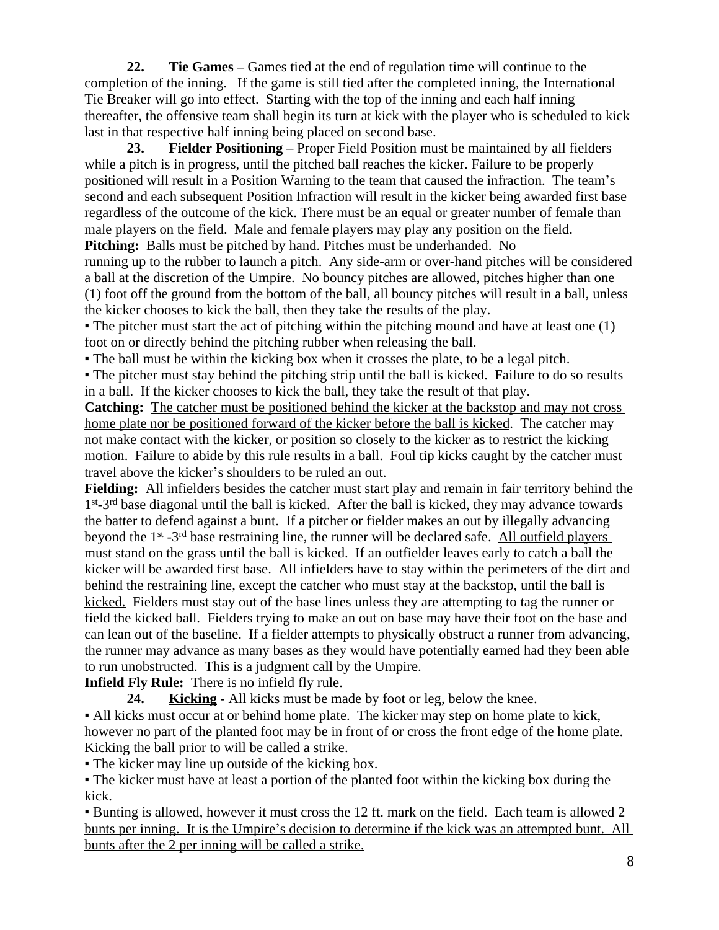**22. Tie Games –** Games tied at the end of regulation time will continue to the completion of the inning. If the game is still tied after the completed inning, the International Tie Breaker will go into effect. Starting with the top of the inning and each half inning thereafter, the offensive team shall begin its turn at kick with the player who is scheduled to kick last in that respective half inning being placed on second base.

**23. Fielder Positioning –** Proper Field Position must be maintained by all fielders while a pitch is in progress, until the pitched ball reaches the kicker. Failure to be properly positioned will result in a Position Warning to the team that caused the infraction. The team's second and each subsequent Position Infraction will result in the kicker being awarded first base regardless of the outcome of the kick. There must be an equal or greater number of female than male players on the field. Male and female players may play any position on the field. **Pitching:** Balls must be pitched by hand. Pitches must be underhanded. No

running up to the rubber to launch a pitch. Any side-arm or over-hand pitches will be considered a ball at the discretion of the Umpire. No bouncy pitches are allowed, pitches higher than one (1) foot off the ground from the bottom of the ball, all bouncy pitches will result in a ball, unless the kicker chooses to kick the ball, then they take the results of the play.

• The pitcher must start the act of pitching within the pitching mound and have at least one (1) foot on or directly behind the pitching rubber when releasing the ball.

▪ The ball must be within the kicking box when it crosses the plate, to be a legal pitch.

• The pitcher must stay behind the pitching strip until the ball is kicked. Failure to do so results in a ball. If the kicker chooses to kick the ball, they take the result of that play.

**Catching:** The catcher must be positioned behind the kicker at the backstop and may not cross home plate nor be positioned forward of the kicker before the ball is kicked. The catcher may not make contact with the kicker, or position so closely to the kicker as to restrict the kicking motion.Failure to abide by this rule results in a ball. Foul tip kicks caught by the catcher must travel above the kicker's shoulders to be ruled an out.

**Fielding:** All infielders besides the catcher must start play and remain in fair territory behind the 1 st-3rd base diagonal until the ball is kicked. After the ball is kicked, they may advance towards the batter to defend against a bunt. If a pitcher or fielder makes an out by illegally advancing beyond the 1st -3rd base restraining line, the runner will be declared safe. All outfield players must stand on the grass until the ball is kicked. If an outfielder leaves early to catch a ball the kicker will be awarded first base. All infielders have to stay within the perimeters of the dirt and behind the restraining line, except the catcher who must stay at the backstop, until the ball is kicked. Fielders must stay out of the base lines unless they are attempting to tag the runner or field the kicked ball. Fielders trying to make an out on base may have their foot on the base and can lean out of the baseline. If a fielder attempts to physically obstruct a runner from advancing, the runner may advance as many bases as they would have potentially earned had they been able to run unobstructed. This is a judgment call by the Umpire.

**Infield Fly Rule:** There is no infield fly rule.

**24. Kicking -** All kicks must be made by foot or leg, below the knee.

▪ All kicks must occur at or behind home plate. The kicker may step on home plate to kick, however no part of the planted foot may be in front of or cross the front edge of the home plate. Kicking the ball prior to will be called a strike.

▪ The kicker may line up outside of the kicking box.

▪ The kicker must have at least a portion of the planted foot within the kicking box during the kick.

**E** Bunting is allowed, however it must cross the 12 ft. mark on the field. Each team is allowed 2 bunts per inning. It is the Umpire's decision to determine if the kick was an attempted bunt. All bunts after the 2 per inning will be called a strike.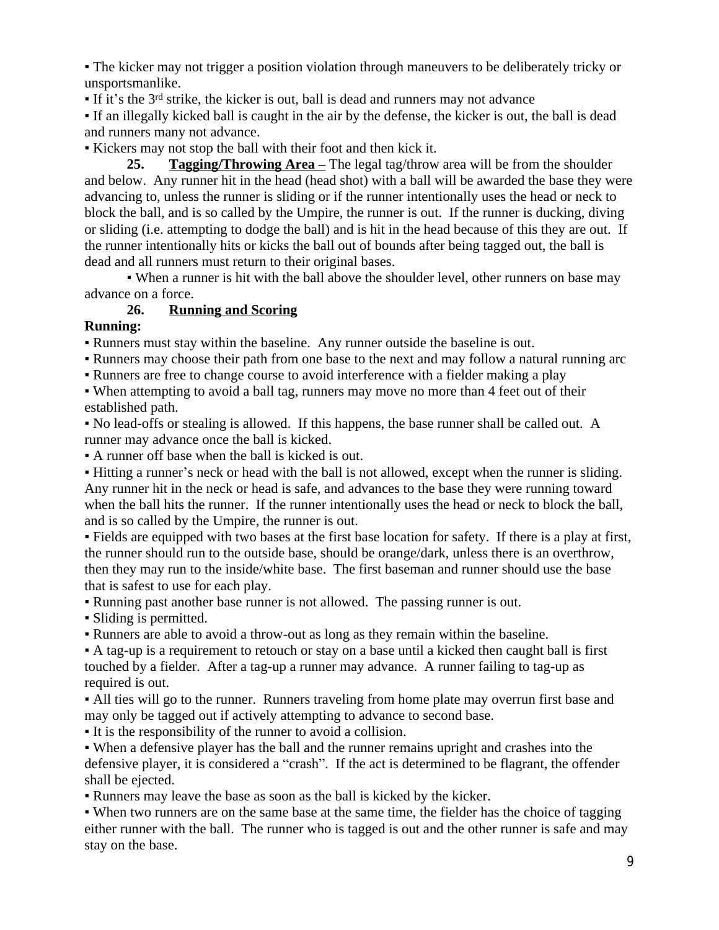▪ The kicker may not trigger a position violation through maneuvers to be deliberately tricky or unsportsmanlike.

 $\blacksquare$  If it's the 3<sup>rd</sup> strike, the kicker is out, ball is dead and runners may not advance

▪ If an illegally kicked ball is caught in the air by the defense, the kicker is out, the ball is dead and runners many not advance.

▪ Kickers may not stop the ball with their foot and then kick it.

**25. Tagging/Throwing Area** – The legal tag/throw area will be from the shoulder and below. Any runner hit in the head (head shot) with a ball will be awarded the base they were advancing to, unless the runner is sliding or if the runner intentionally uses the head or neck to block the ball, and is so called by the Umpire, the runner is out. If the runner is ducking, diving or sliding (i.e. attempting to dodge the ball) and is hit in the head because of this they are out. If the runner intentionally hits or kicks the ball out of bounds after being tagged out, the ball is dead and all runners must return to their original bases.

• When a runner is hit with the ball above the shoulder level, other runners on base may advance on a force.

## **26. Running and Scoring**

## **Running:**

▪ Runners must stay within the baseline. Any runner outside the baseline is out.

• Runners may choose their path from one base to the next and may follow a natural running arc

▪ Runners are free to change course to avoid interference with a fielder making a play

• When attempting to avoid a ball tag, runners may move no more than 4 feet out of their established path.

▪ No lead-offs or stealing is allowed. If this happens, the base runner shall be called out. A runner may advance once the ball is kicked.

▪ A runner off base when the ball is kicked is out.

▪ Hitting a runner's neck or head with the ball is not allowed, except when the runner is sliding. Any runner hit in the neck or head is safe, and advances to the base they were running toward when the ball hits the runner. If the runner intentionally uses the head or neck to block the ball, and is so called by the Umpire, the runner is out.

▪ Fields are equipped with two bases at the first base location for safety. If there is a play at first, the runner should run to the outside base, should be orange/dark, unless there is an overthrow, then they may run to the inside/white base. The first baseman and runner should use the base that is safest to use for each play.

▪ Running past another base runner is not allowed. The passing runner is out.

▪ Sliding is permitted.

▪ Runners are able to avoid a throw-out as long as they remain within the baseline.

▪ A tag-up is a requirement to retouch or stay on a base until a kicked then caught ball is first touched by a fielder. After a tag-up a runner may advance. A runner failing to tag-up as required is out.

• All ties will go to the runner. Runners traveling from home plate may overrun first base and may only be tagged out if actively attempting to advance to second base.

▪ It is the responsibility of the runner to avoid a collision.

▪ When a defensive player has the ball and the runner remains upright and crashes into the defensive player, it is considered a "crash". If the act is determined to be flagrant, the offender shall be ejected.

▪ Runners may leave the base as soon as the ball is kicked by the kicker.

▪ When two runners are on the same base at the same time, the fielder has the choice of tagging either runner with the ball. The runner who is tagged is out and the other runner is safe and may stay on the base.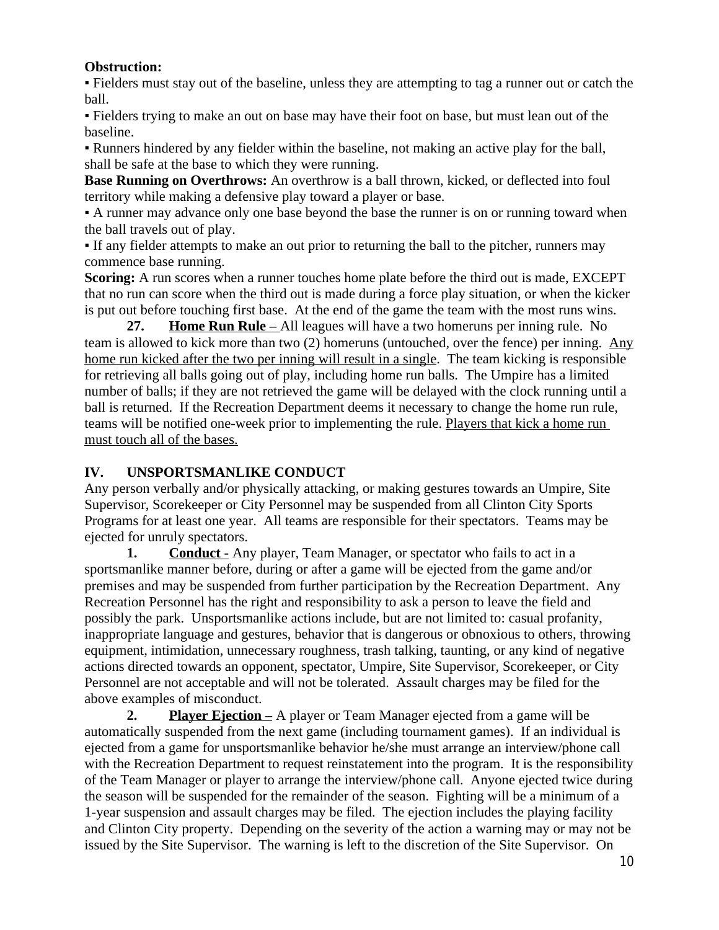#### **Obstruction:**

▪ Fielders must stay out of the baseline, unless they are attempting to tag a runner out or catch the ball.

▪ Fielders trying to make an out on base may have their foot on base, but must lean out of the baseline.

▪ Runners hindered by any fielder within the baseline, not making an active play for the ball, shall be safe at the base to which they were running.

**Base Running on Overthrows:** An overthrow is a ball thrown, kicked, or deflected into foul territory while making a defensive play toward a player or base.

▪ A runner may advance only one base beyond the base the runner is on or running toward when the ball travels out of play.

▪ If any fielder attempts to make an out prior to returning the ball to the pitcher, runners may commence base running.

**Scoring:** A run scores when a runner touches home plate before the third out is made, EXCEPT that no run can score when the third out is made during a force play situation, or when the kicker is put out before touching first base. At the end of the game the team with the most runs wins.

**27. Home Run Rule –** All leagues will have a two homeruns per inning rule. No team is allowed to kick more than two (2) homeruns (untouched, over the fence) per inning. Any home run kicked after the two per inning will result in a single. The team kicking is responsible for retrieving all balls going out of play, including home run balls. The Umpire has a limited number of balls; if they are not retrieved the game will be delayed with the clock running until a ball is returned. If the Recreation Department deems it necessary to change the home run rule, teams will be notified one-week prior to implementing the rule. Players that kick a home run must touch all of the bases.

## **IV. UNSPORTSMANLIKE CONDUCT**

Any person verbally and/or physically attacking, or making gestures towards an Umpire, Site Supervisor, Scorekeeper or City Personnel may be suspended from all Clinton City Sports Programs for at least one year. All teams are responsible for their spectators. Teams may be ejected for unruly spectators.

**1. Conduct** - Any player, Team Manager, or spectator who fails to act in a sportsmanlike manner before, during or after a game will be ejected from the game and/or premises and may be suspended from further participation by the Recreation Department. Any Recreation Personnel has the right and responsibility to ask a person to leave the field and possibly the park. Unsportsmanlike actions include, but are not limited to: casual profanity, inappropriate language and gestures, behavior that is dangerous or obnoxious to others, throwing equipment, intimidation, unnecessary roughness, trash talking, taunting, or any kind of negative actions directed towards an opponent, spectator, Umpire, Site Supervisor, Scorekeeper, or City Personnel are not acceptable and will not be tolerated. Assault charges may be filed for the above examples of misconduct.

**2. Player Ejection –** A player or Team Manager ejected from a game will be automatically suspended from the next game (including tournament games). If an individual is ejected from a game for unsportsmanlike behavior he/she must arrange an interview/phone call with the Recreation Department to request reinstatement into the program. It is the responsibility of the Team Manager or player to arrange the interview/phone call. Anyone ejected twice during the season will be suspended for the remainder of the season. Fighting will be a minimum of a 1-year suspension and assault charges may be filed. The ejection includes the playing facility and Clinton City property. Depending on the severity of the action a warning may or may not be issued by the Site Supervisor. The warning is left to the discretion of the Site Supervisor. On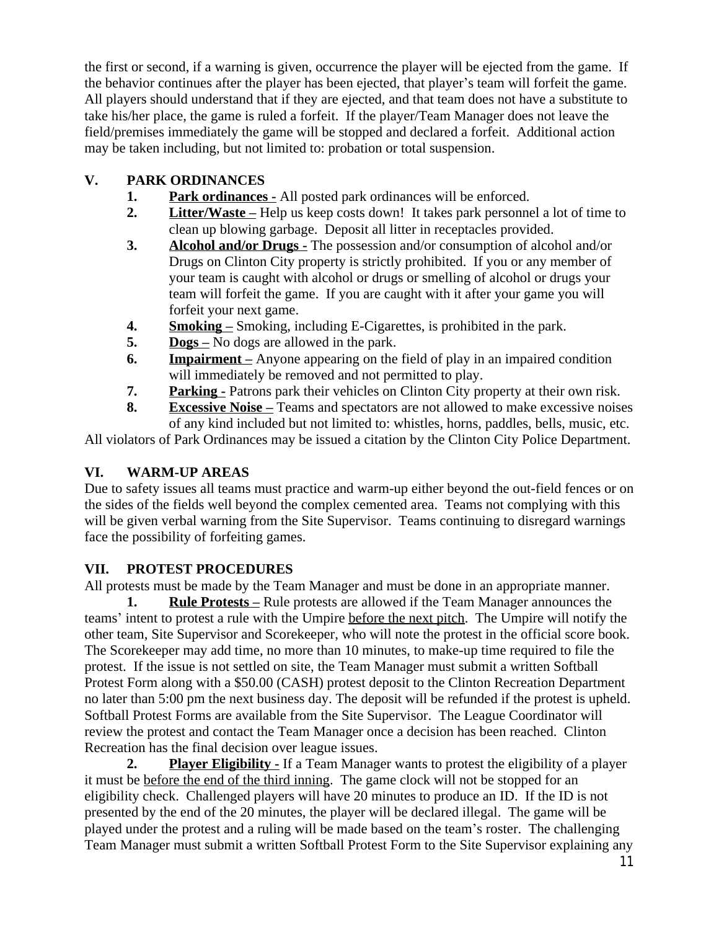the first or second, if a warning is given, occurrence the player will be ejected from the game. If the behavior continues after the player has been ejected, that player's team will forfeit the game. All players should understand that if they are ejected, and that team does not have a substitute to take his/her place, the game is ruled a forfeit. If the player/Team Manager does not leave the field/premises immediately the game will be stopped and declared a forfeit. Additional action may be taken including, but not limited to: probation or total suspension.

## **V. PARK ORDINANCES**

- **1. Park ordinances -** All posted park ordinances will be enforced.
- **2. Litter/Waste** Help us keep costs down! It takes park personnel a lot of time to clean up blowing garbage. Deposit all litter in receptacles provided.
- **3. Alcohol and/or Drugs -** The possession and/or consumption of alcohol and/or Drugs on Clinton City property is strictly prohibited. If you or any member of your team is caught with alcohol or drugs or smelling of alcohol or drugs your team will forfeit the game. If you are caught with it after your game you will forfeit your next game.
- **4. Smoking –** Smoking, including E-Cigarettes, is prohibited in the park.
- **5. Dogs –** No dogs are allowed in the park.
- **6. Impairment** Anyone appearing on the field of play in an impaired condition will immediately be removed and not permitted to play.
- **7. Parking -** Patrons park their vehicles on Clinton City property at their own risk.
- **8. Excessive Noise** Teams and spectators are not allowed to make excessive noises of any kind included but not limited to: whistles, horns, paddles, bells, music, etc.

All violators of Park Ordinances may be issued a citation by the Clinton City Police Department.

# **VI. WARM-UP AREAS**

Due to safety issues all teams must practice and warm-up either beyond the out-field fences or on the sides of the fields well beyond the complex cemented area. Teams not complying with this will be given verbal warning from the Site Supervisor. Teams continuing to disregard warnings face the possibility of forfeiting games.

# **VII. PROTEST PROCEDURES**

All protests must be made by the Team Manager and must be done in an appropriate manner.

**1. Rule Protests** – Rule protests are allowed if the Team Manager announces the teams' intent to protest a rule with the Umpire before the next pitch. The Umpire will notify the other team, Site Supervisor and Scorekeeper, who will note the protest in the official score book. The Scorekeeper may add time, no more than 10 minutes, to make-up time required to file the protest. If the issue is not settled on site, the Team Manager must submit a written Softball Protest Form along with a \$50.00 (CASH) protest deposit to the Clinton Recreation Department no later than 5:00 pm the next business day. The deposit will be refunded if the protest is upheld. Softball Protest Forms are available from the Site Supervisor. The League Coordinator will review the protest and contact the Team Manager once a decision has been reached. Clinton Recreation has the final decision over league issues.

**2. Player Eligibility -** If a Team Manager wants to protest the eligibility of a player it must be before the end of the third inning. The game clock will not be stopped for an eligibility check. Challenged players will have 20 minutes to produce an ID. If the ID is not presented by the end of the 20 minutes, the player will be declared illegal. The game will be played under the protest and a ruling will be made based on the team's roster. The challenging Team Manager must submit a written Softball Protest Form to the Site Supervisor explaining any